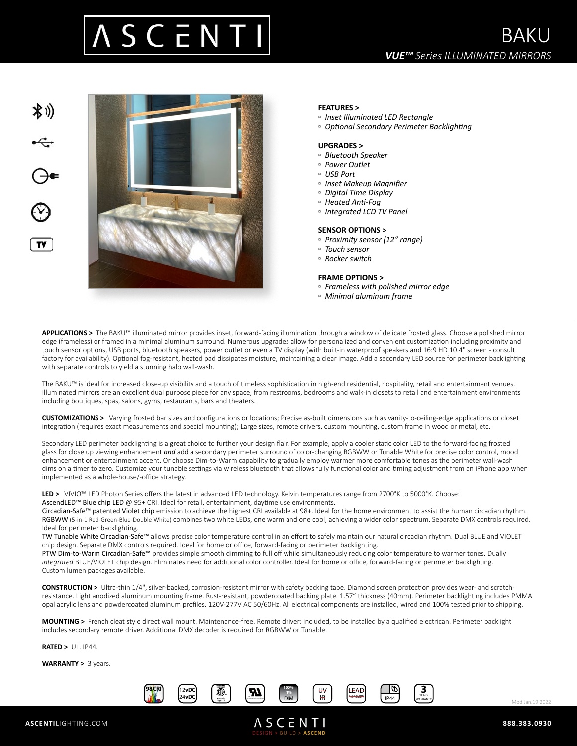



## **FEATURES >**

- *Inset Illuminated LED Rectangle*
- *Optional Secondary Perimeter Backlighting*

### **UPGRADES >**

- *Bluetooth Speaker*
- *Power Outlet*
- *USB Port*
- *Inset Makeup Magnifier*
- *Digital Time Display*
- *Heated Anti-Fog*
- *Integrated LCD TV Panel*

#### **SENSOR OPTIONS >**

- *Proximity sensor (12" range)*
- *Touch sensor*
- *Rocker switch*

#### **FRAME OPTIONS >**

- *Frameless with polished mirror edge*
- *Minimal aluminum frame*

**APPLICATIONS >** The BAKU™ illuminated mirror provides inset, forward-facing illumination through a window of delicate frosted glass. Choose a polished mirror edge (frameless) or framed in a minimal aluminum surround. Numerous upgrades allow for personalized and convenient customization including proximity and touch sensor options, USB ports, bluetooth speakers, power outlet or even a TV display (with built-in waterproof speakers and 16:9 HD 10.4" screen - consult factory for availability). Optional fog-resistant, heated pad dissipates moisture, maintaining a clear image. Add a secondary LED source for perimeter backlighting with separate controls to yield a stunning halo wall-wash.

The BAKU™ is ideal for increased close-up visibility and a touch of timeless sophistication in high-end residential, hospitality, retail and entertainment venues. Illuminated mirrors are an excellent dual purpose piece for any space, from restrooms, bedrooms and walk-in closets to retail and entertainment environments including boutiques, spas, salons, gyms, restaurants, bars and theaters.

**CUSTOMIZATIONS >** Varying frosted bar sizes and configurations or locations; Precise as-built dimensions such as vanity-to-ceiling-edge applications or closet integration (requires exact measurements and special mounting); Large sizes, remote drivers, custom mounting, custom frame in wood or metal, etc.

Secondary LED perimeter backlighting is a great choice to further your design flair. For example, apply a cooler static color LED to the forward-facing frosted glass for close up viewing enhancement *and* add a secondary perimeter surround of color-changing RGBWW or Tunable White for precise color control, mood enhancement or entertainment accent. Or choose Dim-to-Warm capability to gradually employ warmer more comfortable tones as the perimeter wall-wash dims on a timer to zero. Customize your tunable settings via wireless bluetooth that allows fully functional color and timing adjustment from an iPhone app when implemented as a whole-house/-office strategy.

LED > VIVIO™ LED Photon Series offers the latest in advanced LED technology. Kelvin temperatures range from 2700°K to 5000°K. Choose: AscendLED™ Blue chip LED @ 95+ CRI. Ideal for retail, entertainment, daytime use environments.

Circadian-Safe™ patented Violet chip emission to achieve the highest CRI available at 98+. Ideal for the home environment to assist the human circadian rhythm. RGBWW (5-in-1 Red-Green-Blue-Double White) combines two white LEDs, one warm and one cool, achieving a wider color spectrum. Separate DMX controls required. Ideal for perimeter backlighting.

TW Tunable White Circadian-Safe™ allows precise color temperature control in an effort to safely maintain our natural circadian rhythm. Dual BLUE and VIOLET chip design. Separate DMX controls required. Ideal for home or office, forward-facing or perimeter backlighting.

PTW Dim-to-Warm Circadian-Safe™ provides simple smooth dimming to full off while simultaneously reducing color temperature to warmer tones. Dually *integrated* BLUE/VIOLET chip design. Eliminates need for additional color controller. Ideal for home or office, forward-facing or perimeter backlighting. Custom lumen packages available.

**CONSTRUCTION >** Ultra-thin 1/4", silver-backed, corrosion-resistant mirror with safety backing tape. Diamond screen protection provides wear- and scratchresistance. Light anodized aluminum mounting frame. Rust-resistant, powdercoated backing plate. 1.57" thickness (40mm). Perimeter backlighting includes PMMA opal acrylic lens and powdercoated aluminum profiles. 120V-277V AC 50/60Hz. All electrical components are installed, wired and 100% tested prior to shipping.

**MOUNTING >** French cleat style direct wall mount. Maintenance-free. Remote driver: included, to be installed by a qualified electrican. Perimeter backlight includes secondary remote driver. Additional DMX decoder is required for RGBWW or Tunable.

**RATED >** UL. IP44.

**WARRANTY >** 3 years.



DESIGN > BUILD > **ASCEND**



Mod.Jan.19.2022